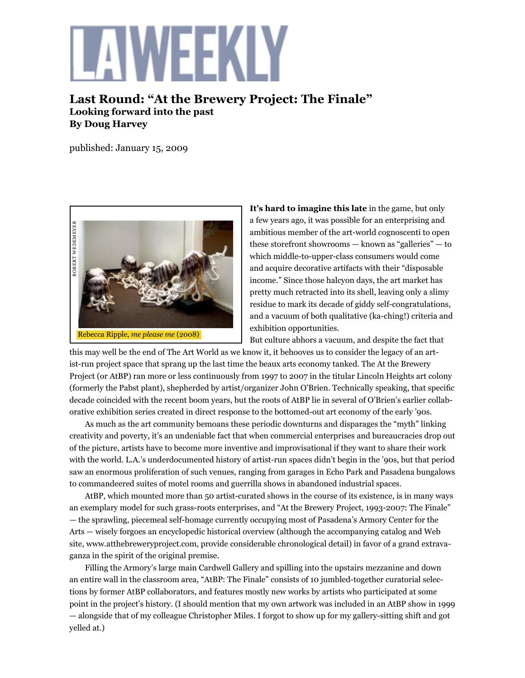## WFFKIY

**Last Round: "At the Brewery Project: The Finale" Looking forward into the past By Doug Harvey** 

published: January 15, 2009



It's hard to imagine this late in the game, but only a few years ago, it was possible for an enterprising and ambitious member of the art-world cognoscenti to open these storefront showrooms — known as "galleries" — to which middle-to-upper-class consumers would come and acquire decorative artifacts with their "disposable income." Since those halcyon days, the art market has pretty much retracted into its shell, leaving only a slimy residue to mark its decade of giddy self-congratulations, and a vacuum of both qualitative (ka-ching!) criteria and exhibition opportunities.

But culture abhors a vacuum, and despite the fact that

this may well be the end of The Art World as we know it, it behooves us to consider the legacy of an artist-run project space that sprang up the last time the beaux arts economy tanked. The At the Brewery Project (or AtBP) ran more or less continuously from 1997 to 2007 in the titular Lincoln Heights art colony (formerly the Pabst plant), shepherded by artist/organizer John O'Brien. Technically speaking, that specific decade coincided with the recent boom years, but the roots of AtBP lie in several of O'Brien's earlier collaborative exhibition series created in direct response to the bottomed-out art economy of the early '90s.

As much as the art community bemoans these periodic downturns and disparages the "myth" linking creativity and poverty, it's an undeniable fact that when commercial enterprises and bureaucracies drop out of the picture, artists have to become more inventive and improvisational if they want to share their work with the world. L.A.'s underdocumented history of artist-run spaces didn't begin in the '90s, but that period saw an enormous proliferation of such venues, ranging from garages in Echo Park and Pasadena bungalows to commandeered suites of motel rooms and guerrilla shows in abandoned industrial spaces.

AtBP, which mounted more than 50 artist-curated shows in the course of its existence, is in many ways an exemplary model for such grass-roots enterprises, and "At the Brewery Project, 1993-2007: The Finale" — the sprawling, piecemeal self-homage currently occupying most of Pasadena's Armory Center for the Arts — wisely forgoes an encyclopedic historical overview (although the accompanying catalog and Web site, www.atthebreweryproject.com, provide considerable chronological detail) in favor of a grand extravaganza in the spirit of the original premise.

Filling the Armory's large main Cardwell Gallery and spilling into the upstairs mezzanine and down an entire wall in the classroom area, "AtBP: The Finale" consists of 10 jumbled-together curatorial selections by former AtBP collaborators, and features mostly new works by artists who participated at some point in the project's history. (I should mention that my own artwork was included in an AtBP show in 1999 — alongside that of my colleague Christopher Miles. I forgot to show up for my gallery-sitting shift and got yelled at.)